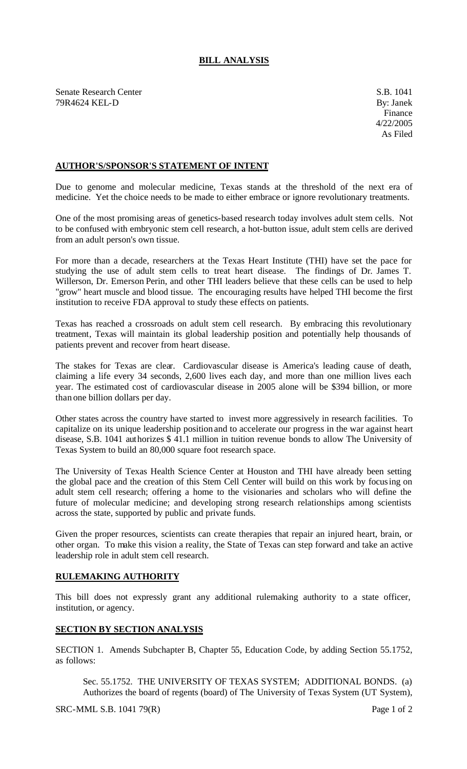## **BILL ANALYSIS**

Senate Research Center S.B. 1041 79R4624 KEL-D By: Janek

## **AUTHOR'S/SPONSOR'S STATEMENT OF INTENT**

Due to genome and molecular medicine, Texas stands at the threshold of the next era of medicine. Yet the choice needs to be made to either embrace or ignore revolutionary treatments.

One of the most promising areas of genetics-based research today involves adult stem cells. Not to be confused with embryonic stem cell research, a hot-button issue, adult stem cells are derived from an adult person's own tissue.

For more than a decade, researchers at the Texas Heart Institute (THI) have set the pace for studying the use of adult stem cells to treat heart disease. The findings of Dr. James T. Willerson, Dr. Emerson Perin, and other THI leaders believe that these cells can be used to help "grow" heart muscle and blood tissue. The encouraging results have helped THI become the first institution to receive FDA approval to study these effects on patients.

Texas has reached a crossroads on adult stem cell research. By embracing this revolutionary treatment, Texas will maintain its global leadership position and potentially help thousands of patients prevent and recover from heart disease.

The stakes for Texas are clear. Cardiovascular disease is America's leading cause of death, claiming a life every 34 seconds, 2,600 lives each day, and more than one million lives each year. The estimated cost of cardiovascular disease in 2005 alone will be \$394 billion, or more than one billion dollars per day.

Other states across the country have started to invest more aggressively in research facilities. To capitalize on its unique leadership position and to accelerate our progress in the war against heart disease, S.B. 1041 authorizes \$ 41.1 million in tuition revenue bonds to allow The University of Texas System to build an 80,000 square foot research space.

The University of Texas Health Science Center at Houston and THI have already been setting the global pace and the creation of this Stem Cell Center will build on this work by focusing on adult stem cell research; offering a home to the visionaries and scholars who will define the future of molecular medicine; and developing strong research relationships among scientists across the state, supported by public and private funds.

Given the proper resources, scientists can create therapies that repair an injured heart, brain, or other organ. To make this vision a reality, the State of Texas can step forward and take an active leadership role in adult stem cell research.

## **RULEMAKING AUTHORITY**

This bill does not expressly grant any additional rulemaking authority to a state officer, institution, or agency.

## **SECTION BY SECTION ANALYSIS**

SECTION 1. Amends Subchapter B, Chapter 55, Education Code, by adding Section 55.1752, as follows:

Sec. 55.1752. THE UNIVERSITY OF TEXAS SYSTEM; ADDITIONAL BONDS. (a) Authorizes the board of regents (board) of The University of Texas System (UT System),

SRC-MML S.B. 1041 79(R) Page 1 of 2